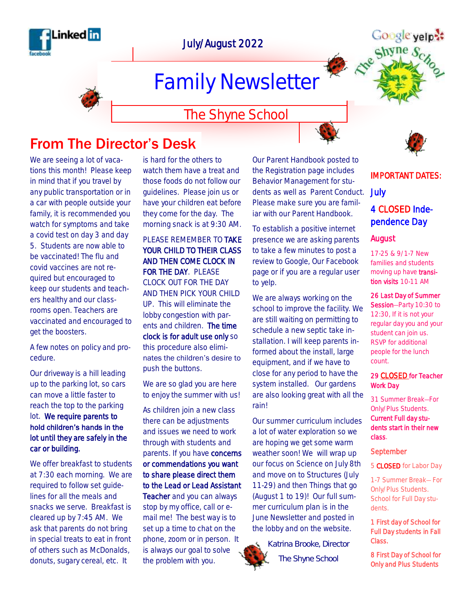

### July/August 2022

# Family Newsletter

### The Shyne School

### From The Director's Desk

We are seeing a lot of vacations this month! Please keep in mind that if you travel by any public transportation or in a car with people outside your family, it is recommended you watch for symptoms and take a covid test on day 3 and day 5. Students are now able to be vaccinated! The flu and covid vaccines are not required but encouraged to keep our students and teachers healthy and our classrooms open. Teachers are vaccinated and encouraged to get the boosters.

A few notes on policy and procedure.

Our driveway is a hill leading up to the parking lot, so cars can move a little faster to reach the top to the parking lot. We require parents to hold children's hands in the lot until they are safely in the car or building.

We offer breakfast to students at 7:30 each morning. We are required to follow set guidelines for all the meals and snacks we serve. Breakfast is cleared up by 7:45 AM. We ask that parents do not bring in special treats to eat in front of others such as McDonalds, donuts, sugary cereal, etc. It

is hard for the others to watch them have a treat and those foods do not follow our guidelines. Please join us or have your children eat before they come for the day. The morning snack is at 9:30 AM.

PLEASE REMEMBER TO TAKE YOUR CHILD TO THEIR CLASS AND THEN COME CLOCK IN FOR THE DAY. PLEASE CLOCK OUT FOR THE DAY AND THEN PICK YOUR CHILD UP. This will eliminate the lobby congestion with parents and children. The time clock is for adult use only so this procedure also eliminates the children's desire to push the buttons.

We are so glad you are here to enjoy the summer with us!

As children join a new class there can be adjustments and issues we need to work through with students and parents. If you have concerns or commendations you want to share please direct them to the Lead or Lead Assistant Teacher and you can always stop by my office, call or email me! The best way is to set up a time to chat on the phone, zoom or in person. It is always our goal to solve the problem with you.

Our Parent Handbook posted to the Registration page includes Behavior Management for students as well as Parent Conduct. Please make sure you are familiar with our Parent Handbook.

To establish a positive internet presence we are asking parents to take a few minutes to post a review to Google, Our Facebook page or if you are a regular user to yelp.

We are always working on the school to improve the facility. We are still waiting on permitting to schedule a new septic take installation. I will keep parents informed about the install, large equipment, and if we have to close for any period to have the system installed. Our gardens are also looking great with all the rain!

Our summer curriculum includes a lot of water exploration so we are hoping we get some warm weather soon! We will wrap up our focus on Science on July 8th and move on to Structures (July 11-29) and then Things that go (August 1 to 19)! Our full summer curriculum plan is in the June Newsletter and posted in the lobby and on the website.

*Katrina Brooke, Director The Shyne School*

IMPORTANT DATES:

## July

### 4 CLOSED Independence Day

#### August

17-25 & 9/1-7 New families and students moving up have transition visits 10-11 AM

#### 26 Last Day of Summer

Session-Party 10:30 to 12:30, If it is not your regular day you and your student can join us. RSVP for additional people for the lunch count.

#### 29 CLOSED for Teacher Work Day

31 Summer Break—For Only/Plus Students. Current Full day students start in their new class.

#### September

5 CLOSED for Labor Day

1-7 Summer Break— For Only/Plus Students. School for Full Day students.

1 First day of School for Full Day students in Fall Class.

8 First Day of School for Only and Plus Students





Google yelp: